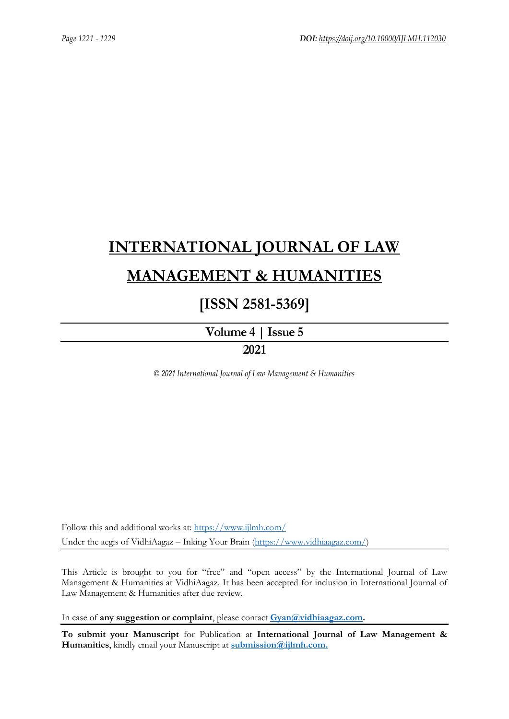# **[INTERNATIONAL JOURNAL OF LAW](https://www.ijlmh.com/)  [MANAGEMENT & HUMANITIES](https://www.ijlmh.com/)**

### **[ISSN 2581-5369]**

**[Volume 4 |](https://www.ijlmh.com/publications/volume-iv-issue-v/) Issue 5**

**2021**

*© 2021 International Journal of Law Management & Humanities*

Follow this and additional works at:<https://www.ijlmh.com/> Under the aegis of VidhiAagaz – Inking Your Brain [\(https://www.vidhiaagaz.com/\)](https://www.vidhiaagaz.com/)

This Article is brought to you for "free" and "open access" by the International Journal of Law Management & Humanities at VidhiAagaz. It has been accepted for inclusion in International Journal of Law Management & Humanities after due review.

In case of **any suggestion or complaint**, please contact **[Gyan@vidhiaagaz.com.](mailto:Gyan@vidhiaagaz.com)** 

**To submit your Manuscript** for Publication at **International Journal of Law Management & Humanities**, kindly email your Manuscript at **[submission@ijlmh.com.](mailto:submission@ijlmh.com)**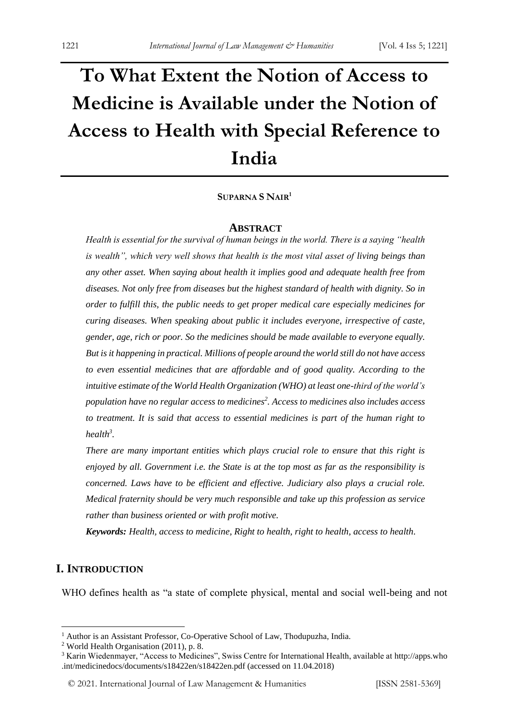# **To What Extent the Notion of Access to Medicine is Available under the Notion of Access to Health with Special Reference to India**

#### **SUPARNA S NAIR<sup>1</sup>**

#### **ABSTRACT**

*Health is essential for the survival of human beings in the world. There is a saying "health is wealth", which very well shows that health is the most vital asset of living beings than any other asset. When saying about health it implies good and adequate health free from diseases. Not only free from diseases but the highest standard of health with dignity. So in order to fulfill this, the public needs to get proper medical care especially medicines for curing diseases. When speaking about public it includes everyone, irrespective of caste, gender, age, rich or poor. So the medicines should be made available to everyone equally. But is it happening in practical. Millions of people around the world still do not have access to even essential medicines that are affordable and of good quality. According to the intuitive estimate of the World Health Organization (WHO) at least one-third of the world's population have no regular access to medicines<sup>2</sup> . Access to medicines also includes access to treatment. It is said that access to essential medicines is part of the human right to health<sup>3</sup> .*

*There are many important entities which plays crucial role to ensure that this right is enjoyed by all. Government i.e. the State is at the top most as far as the responsibility is concerned. Laws have to be efficient and effective. Judiciary also plays a crucial role. Medical fraternity should be very much responsible and take up this profession as service rather than business oriented or with profit motive.*

*Keywords: Health, access to medicine, Right to health, right to health, access to health.* 

#### **I. INTRODUCTION**

WHO defines health as "a state of complete physical, mental and social well-being and not

<sup>&</sup>lt;sup>1</sup> Author is an Assistant Professor, Co-Operative School of Law, Thodupuzha, India.

<sup>2</sup> World Health Organisation (2011), p. 8.

<sup>3</sup> Karin Wiedenmayer, "Access to Medicines", Swiss Centre for International Health, available at http://apps.who .int/medicinedocs/documents/s18422en/s18422en.pdf (accessed on 11.04.2018)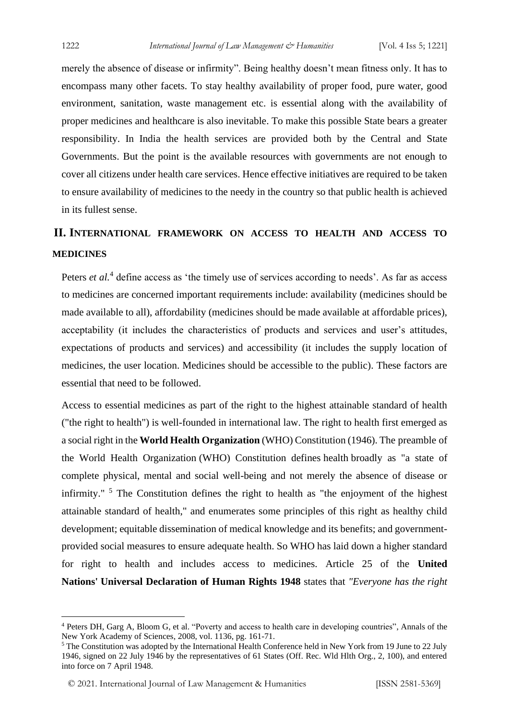merely the absence of disease or infirmity". Being healthy doesn't mean fitness only. It has to encompass many other facets. To stay healthy availability of proper food, pure water, good environment, sanitation, waste management etc. is essential along with the availability of proper medicines and healthcare is also inevitable. To make this possible State bears a greater responsibility. In India the health services are provided both by the Central and State Governments. But the point is the available resources with governments are not enough to cover all citizens under health care services. Hence effective initiatives are required to be taken to ensure availability of medicines to the needy in the country so that public health is achieved in its fullest sense.

### **II. INTERNATIONAL FRAMEWORK ON ACCESS TO HEALTH AND ACCESS TO MEDICINES**

Peters *et al.*<sup>4</sup> define access as 'the timely use of services according to needs'. As far as access to medicines are concerned important requirements include: availability (medicines should be made available to all), affordability (medicines should be made available at affordable prices), acceptability (it includes the characteristics of products and services and user's attitudes, expectations of products and services) and accessibility (it includes the supply location of medicines, the user location. Medicines should be accessible to the public). These factors are essential that need to be followed.

Access to essential medicines as part of the right to the highest attainable standard of health ("the right to health") is well-founded in international law. The right to health first emerged as a social right in the **World Health Organization** (WHO) Constitution (1946). The preamble of the World Health Organization (WHO) Constitution defines health broadly as "a state of complete physical, mental and social well-being and not merely the absence of disease or infirmity."  $5$  The Constitution defines the right to health as "the enjoyment of the highest attainable standard of health," and enumerates some principles of this right as healthy child development; equitable dissemination of medical knowledge and its benefits; and governmentprovided social measures to ensure adequate health. So WHO has laid down a higher standard for right to health and includes access to medicines. Article 25 of the **United Nations' Universal Declaration of Human Rights 1948** states that *"Everyone has the right* 

<sup>4</sup> Peters DH, Garg A, Bloom G, et al. "Poverty and access to health care in developing countries", Annals of the New York Academy of Sciences, 2008, vol. 1136, pg. 161-71.

<sup>&</sup>lt;sup>5</sup> The Constitution was adopted by the International Health Conference held in New York from 19 June to 22 July 1946, signed on 22 July 1946 by the representatives of 61 States (Off. Rec. Wld Hlth Org., 2, 100), and entered into force on 7 April 1948.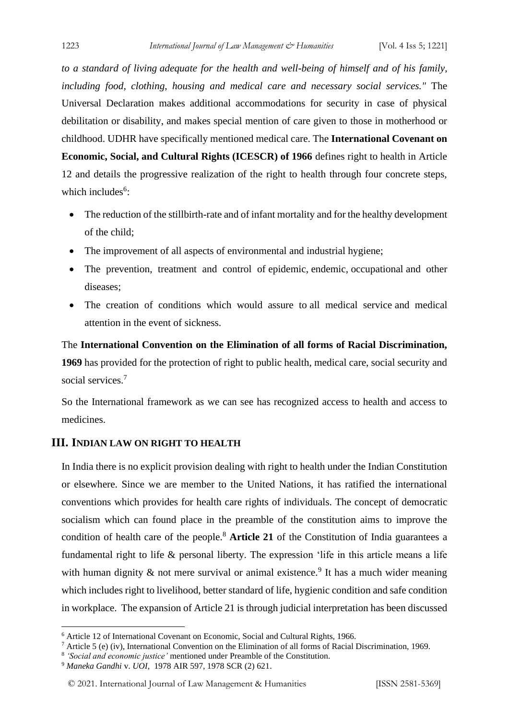*to a standard of living adequate for the health and well-being of himself and of his family, including food, clothing, housing and medical care and necessary social services."* The Universal Declaration makes additional accommodations for security in case of physical debilitation or disability, and makes special mention of care given to those in motherhood or childhood. UDHR have specifically mentioned medical care. The **International Covenant on Economic, Social, and Cultural Rights (ICESCR) of 1966** defines right to health in Article 12 and details the progressive realization of the right to health through four concrete steps, which includes<sup>6</sup>:

- The reduction of the still birth-rate and of infant mortality and for the healthy development of the child;
- The improvement of all aspects of environmental and industrial hygiene;
- The prevention, treatment and control of epidemic, endemic, occupational and other diseases;
- The creation of conditions which would assure to all medical service and medical attention in the event of sickness.

The **International Convention on the Elimination of all forms of Racial Discrimination, 1969** has provided for the protection of right to public health, medical care, social security and social services.<sup>7</sup>

So the International framework as we can see has recognized access to health and access to medicines.

#### **III. INDIAN LAW ON RIGHT TO HEALTH**

In India there is no explicit provision dealing with right to health under the Indian Constitution or elsewhere. Since we are member to the United Nations, it has ratified the international conventions which provides for health care rights of individuals. The concept of democratic socialism which can found place in the preamble of the constitution aims to improve the condition of health care of the people.<sup>8</sup> **Article 21** of the Constitution of India guarantees a fundamental right to life & personal liberty. The expression 'life in this article means a life with human dignity  $\&$  not mere survival or animal existence.<sup>9</sup> It has a much wider meaning which includes right to livelihood, better standard of life, hygienic condition and safe condition in workplace. The expansion of Article 21 is through judicial interpretation has been discussed

<sup>6</sup> Article 12 of International Covenant on Economic, Social and Cultural Rights, 1966.

<sup>7</sup> Article 5 (e) (iv), International Convention on the Elimination of all forms of Racial Discrimination, 1969.

<sup>8</sup> *'Social and economic justice'* mentioned under Preamble of the Constitution.

<sup>9</sup> *Maneka Gandhi* v. *UOI,* 1978 AIR 597, 1978 SCR (2) 621.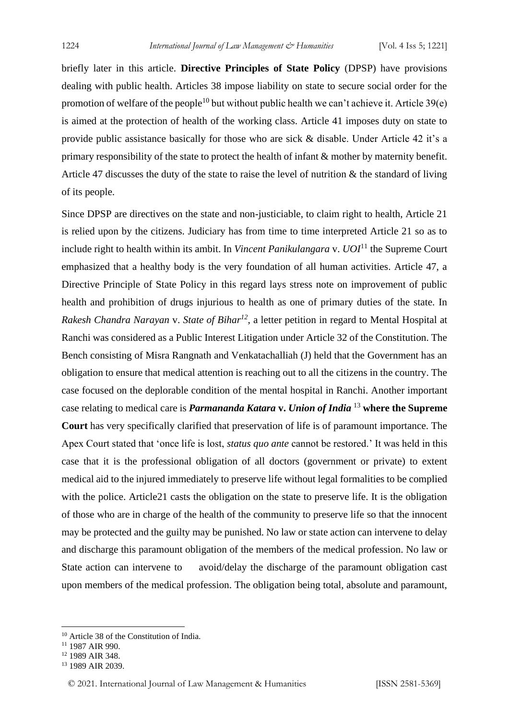briefly later in this article. **Directive Principles of State Policy** (DPSP) have provisions dealing with public health. Articles 38 impose liability on state to secure social order for the promotion of welfare of the people<sup>10</sup> but without public health we can't achieve it. Article 39(e) is aimed at the protection of health of the working class. Article 41 imposes duty on state to provide public assistance basically for those who are sick & disable. Under Article 42 it's a primary responsibility of the state to protect the health of infant & mother by maternity benefit. Article 47 discusses the duty of the state to raise the level of nutrition & the standard of living of its people.

Since DPSP are directives on the state and non-justiciable, to claim right to health, Article 21 is relied upon by the citizens. Judiciary has from time to time interpreted Article 21 so as to include right to health within its ambit. In *Vincent Panikulangara* v. *UOI*<sup>11</sup> the Supreme Court emphasized that a healthy body is the very foundation of all human activities. Article 47, a Directive Principle of State Policy in this regard lays stress note on improvement of public health and prohibition of drugs injurious to health as one of primary duties of the state. In *Rakesh Chandra Narayan* v. *State of Bihar<sup>12</sup>*, a letter petition in regard to Mental Hospital at Ranchi was considered as a Public Interest Litigation under Article 32 of the Constitution. The Bench consisting of Misra Rangnath and Venkatachalliah (J) held that the Government has an obligation to ensure that medical attention is reaching out to all the citizens in the country. The case focused on the deplorable condition of the mental hospital in Ranchi. Another important case relating to medical care is *Parmananda Katara* **v.** *Union of India* <sup>13</sup> **where the Supreme Court** has very specifically clarified that preservation of life is of paramount importance. The Apex Court stated that 'once life is lost, *status quo ante* cannot be restored.' It was held in this case that it is the professional obligation of all doctors (government or private) to extent medical aid to the injured immediately to preserve life without legal formalities to be complied with the police. Article21 casts the obligation on the state to preserve life. It is the obligation of those who are in charge of the health of the community to preserve life so that the innocent may be protected and the guilty may be punished. No law or state action can intervene to delay and discharge this paramount obligation of the members of the medical profession. No law or State action can intervene to avoid/delay the discharge of the paramount obligation cast upon members of the medical profession. The obligation being total, absolute and paramount,

<sup>&</sup>lt;sup>10</sup> Article 38 of the Constitution of India.

<sup>&</sup>lt;sup>11</sup> 1987 AIR 990.

<sup>12</sup> 1989 AIR 348.

<sup>13</sup> 1989 AIR 2039.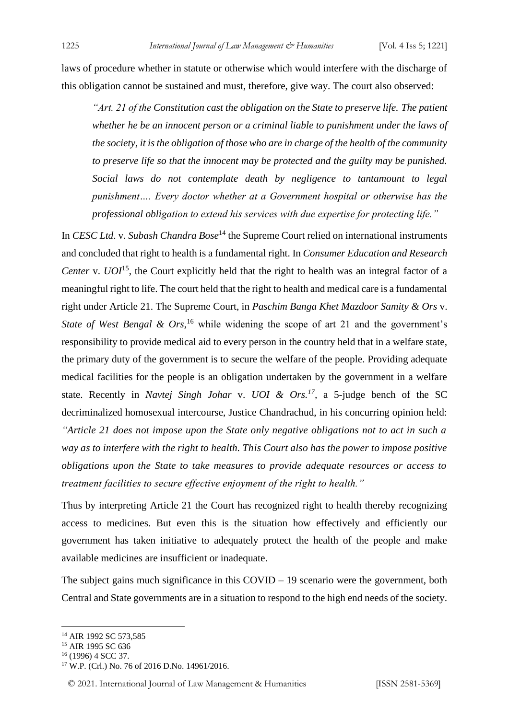laws of procedure whether in statute or otherwise which would interfere with the discharge of this obligation cannot be sustained and must, therefore, give way. The court also observed:

*"Art. 21 of the Constitution cast the obligation on the State to preserve life. The patient whether he be an innocent person or a criminal liable to punishment under the laws of the society, it is the obligation of those who are in charge of the health of the community to preserve life so that the innocent may be protected and the guilty may be punished. Social laws do not contemplate death by negligence to tantamount to legal punishment…. Every doctor whether at a Government hospital or otherwise has the professional obligation to extend his services with due expertise for protecting life."*

In *CESC Ltd.* v. *Subash Chandra Bose*<sup>14</sup> the Supreme Court relied on international instruments and concluded that right to health is a fundamental right. In *Consumer Education and Research Center* v. *UOI*<sup>15</sup>, the Court explicitly held that the right to health was an integral factor of a meaningful right to life. The court held that the right to health and medical care is a fundamental right under Article 21. The Supreme Court, in *Paschim Banga Khet Mazdoor Samity & Ors* v. *State of West Bengal & Ors*,<sup>16</sup> while widening the scope of art 21 and the government's responsibility to provide medical aid to every person in the country held that in a welfare state, the primary duty of the government is to secure the welfare of the people. Providing adequate medical facilities for the people is an obligation undertaken by the government in a welfare state. Recently in *Navtej Singh Johar* v. *UOI & Ors.<sup>17</sup> ,* a 5-judge bench of the SC decriminalized homosexual intercourse, Justice Chandrachud, in his concurring opinion held: *"Article 21 does not impose upon the State only negative obligations not to act in such a way as to interfere with the right to health. This Court also has the power to impose positive obligations upon the State to take measures to provide adequate resources or access to treatment facilities to secure effective enjoyment of the right to health."*

Thus by interpreting Article 21 the Court has recognized right to health thereby recognizing access to medicines. But even this is the situation how effectively and efficiently our government has taken initiative to adequately protect the health of the people and make available medicines are insufficient or inadequate.

The subject gains much significance in this COVID – 19 scenario were the government, both Central and State governments are in a situation to respond to the high end needs of the society.

<sup>&</sup>lt;sup>14</sup> AIR 1992 SC 573,585

<sup>&</sup>lt;sup>15</sup> AIR 1995 SC 636

<sup>16</sup> (1996) 4 SCC 37.

<sup>17</sup> W.P. (Crl.) No. 76 of 2016 D.No. 14961/2016.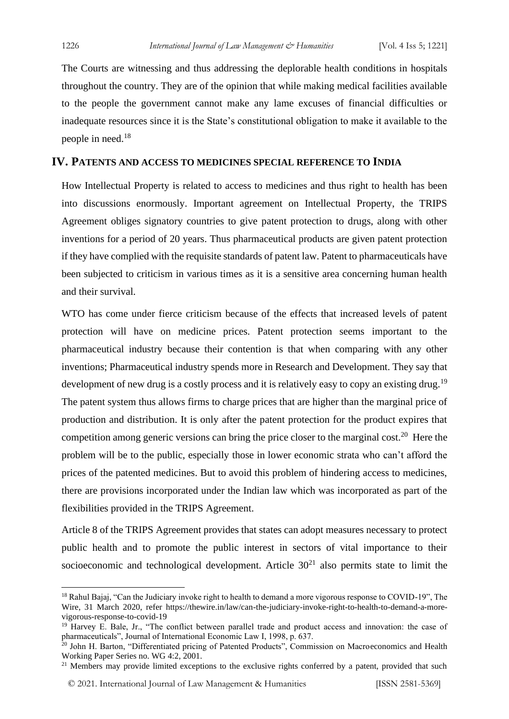The Courts are witnessing and thus addressing the deplorable health conditions in hospitals throughout the country. They are of the opinion that while making medical facilities available to the people the government cannot make any lame excuses of financial difficulties or inadequate resources since it is the State's constitutional obligation to make it available to the people in need.<sup>18</sup>

#### **IV. PATENTS AND ACCESS TO MEDICINES SPECIAL REFERENCE TO INDIA**

How Intellectual Property is related to access to medicines and thus right to health has been into discussions enormously. Important agreement on Intellectual Property, the TRIPS Agreement obliges signatory countries to give patent protection to drugs, along with other inventions for a period of 20 years. Thus pharmaceutical products are given patent protection if they have complied with the requisite standards of patent law. Patent to pharmaceuticals have been subjected to criticism in various times as it is a sensitive area concerning human health and their survival.

WTO has come under fierce criticism because of the effects that increased levels of patent protection will have on medicine prices. Patent protection seems important to the pharmaceutical industry because their contention is that when comparing with any other inventions; Pharmaceutical industry spends more in Research and Development. They say that development of new drug is a costly process and it is relatively easy to copy an existing drug.<sup>19</sup> The patent system thus allows firms to charge prices that are higher than the marginal price of production and distribution. It is only after the patent protection for the product expires that competition among generic versions can bring the price closer to the marginal cost.<sup>20</sup> Here the problem will be to the public, especially those in lower economic strata who can't afford the prices of the patented medicines. But to avoid this problem of hindering access to medicines, there are provisions incorporated under the Indian law which was incorporated as part of the flexibilities provided in the TRIPS Agreement.

Article 8 of the TRIPS Agreement provides that states can adopt measures necessary to protect public health and to promote the public interest in sectors of vital importance to their socioeconomic and technological development. Article  $30<sup>21</sup>$  also permits state to limit the

<sup>&</sup>lt;sup>18</sup> Rahul Bajaj, "Can the Judiciary invoke right to health to demand a more vigorous response to COVID-19". The Wire, 31 March 2020, refer https://thewire.in/law/can-the-judiciary-invoke-right-to-health-to-demand-a-morevigorous-response-to-covid-19

<sup>&</sup>lt;sup>19</sup> Harvey E. Bale, Jr., "The conflict between parallel trade and product access and innovation: the case of pharmaceuticals", Journal of International Economic Law I, 1998, p. 637.

<sup>&</sup>lt;sup>20</sup> John H. Barton, "Differentiated pricing of Patented Products", Commission on Macroeconomics and Health Working Paper Series no. WG 4:2, 2001.

<sup>&</sup>lt;sup>21</sup> Members may provide limited exceptions to the exclusive rights conferred by a patent, provided that such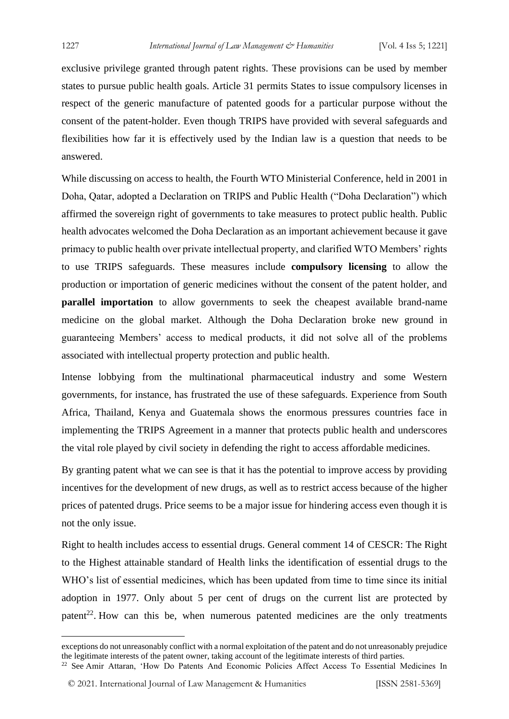exclusive privilege granted through patent rights. These provisions can be used by member states to pursue public health goals. Article 31 permits States to issue compulsory licenses in respect of the generic manufacture of patented goods for a particular purpose without the consent of the patent-holder. Even though TRIPS have provided with several safeguards and flexibilities how far it is effectively used by the Indian law is a question that needs to be answered.

While discussing on access to health, the Fourth WTO Ministerial Conference, held in 2001 in Doha, Qatar, adopted a Declaration on TRIPS and Public Health ("Doha Declaration") which affirmed the sovereign right of governments to take measures to protect public health. Public health advocates welcomed the Doha Declaration as an important achievement because it gave primacy to public health over private intellectual property, and clarified WTO Members' rights to use TRIPS safeguards. These measures include **compulsory licensing** to allow the production or importation of generic medicines without the consent of the patent holder, and **parallel importation** to allow governments to seek the cheapest available brand-name medicine on the global market. Although the Doha Declaration broke new ground in guaranteeing Members' access to medical products, it did not solve all of the problems associated with intellectual property protection and public health.

Intense lobbying from the multinational pharmaceutical industry and some Western governments, for instance, has frustrated the use of these safeguards. Experience from South Africa, Thailand, Kenya and Guatemala shows the enormous pressures countries face in implementing the TRIPS Agreement in a manner that protects public health and underscores the vital role played by civil society in defending the right to access affordable medicines.

By granting patent what we can see is that it has the potential to improve access by providing incentives for the development of new drugs, as well as to restrict access because of the higher prices of patented drugs. Price seems to be a major issue for hindering access even though it is not the only issue.

Right to health includes access to essential drugs. General comment 14 of CESCR: The Right to the Highest attainable standard of Health links the identification of essential drugs to the WHO's list of essential medicines, which has been updated from time to time since its initial adoption in 1977. Only about 5 per cent of drugs on the current list are protected by patent<sup>22</sup>. How can this be, when numerous patented medicines are the only treatments

exceptions do not unreasonably conflict with a normal exploitation of the patent and do not unreasonably prejudice the legitimate interests of the patent owner, taking account of the legitimate interests of third parties.

<sup>&</sup>lt;sup>22</sup> See Amir Attaran, 'How Do Patents And Economic Policies Affect Access To Essential Medicines In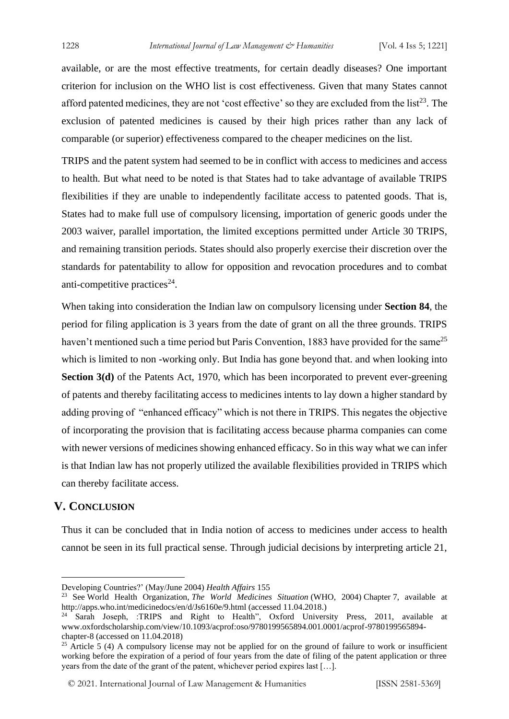available, or are the most effective treatments, for certain deadly diseases? One important criterion for inclusion on the WHO list is cost effectiveness. Given that many States cannot afford patented medicines, they are not 'cost effective' so they are excluded from the  $list^{23}$ . The exclusion of patented medicines is caused by their high prices rather than any lack of comparable (or superior) effectiveness compared to the cheaper medicines on the list.

TRIPS and the patent system had seemed to be in conflict with access to medicines and access to health. But what need to be noted is that States had to take advantage of available TRIPS flexibilities if they are unable to independently facilitate access to patented goods. That is, States had to make full use of compulsory licensing, importation of generic goods under the 2003 waiver, parallel importation, the limited exceptions permitted under Article 30 TRIPS, and remaining transition periods. States should also properly exercise their discretion over the standards for patentability to allow for opposition and revocation procedures and to combat anti-competitive practices<sup>24</sup>.

When taking into consideration the Indian law on compulsory licensing under **Section 84**, the period for filing application is 3 years from the date of grant on all the three grounds. TRIPS haven't mentioned such a time period but Paris Convention, 1883 have provided for the same<sup>25</sup> which is limited to non-working only. But India has gone beyond that, and when looking into **Section 3(d)** of the Patents Act, 1970, which has been incorporated to prevent ever-greening of patents and thereby facilitating access to medicines intents to lay down a higher standard by adding proving of "enhanced efficacy" which is not there in TRIPS. This negates the objective of incorporating the provision that is facilitating access because pharma companies can come with newer versions of medicines showing enhanced efficacy. So in this way what we can infer is that Indian law has not properly utilized the available flexibilities provided in TRIPS which can thereby facilitate access.

#### **V. CONCLUSION**

Thus it can be concluded that in India notion of access to medicines under access to health cannot be seen in its full practical sense. Through judicial decisions by interpreting article 21,

© 2021. International Journal of [Law Management & Humanities](https://www.ijlmh.com/) [ISSN 2581-5369]

Developing Countries?' (May/June 2004) *Health Affairs* 155

<sup>23</sup> See World Health Organization, *The World Medicines Situation* (WHO, 2004) Chapter 7, available at http://apps.who.int/medicinedocs/en/d/Js6160e/9.html (accessed 11.04.2018.)

<sup>&</sup>lt;sup>24</sup> Sarah Joseph, :TRIPS and Right to Health", Oxford University Press, 2011, available at www.oxfordscholarship.com/view/10.1093/acprof:oso/9780199565894.001.0001/acprof-9780199565894 chapter-8 (accessed on 11.04.2018)

<sup>&</sup>lt;sup>25</sup> Article 5 (4) A compulsory license may not be applied for on the ground of failure to work or insufficient working before the expiration of a period of four years from the date of filing of the patent application or three years from the date of the grant of the patent, whichever period expires last […].